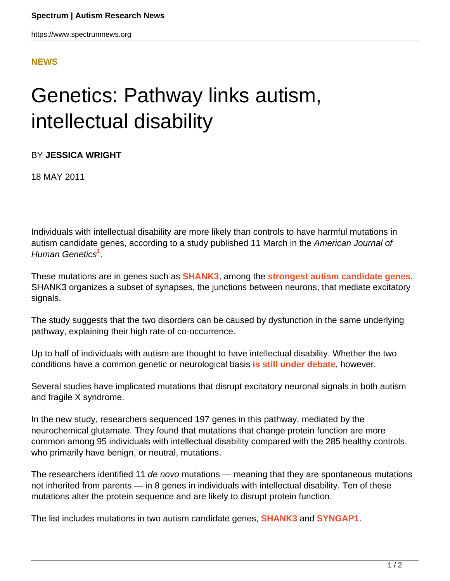## **[NEWS](HTTPS://WWW.SPECTRUMNEWS.ORG/NEWS/)**

## Genetics: Pathway links autism, intellectual disability

BY **JESSICA WRIGHT**

18 MAY 2011

Individuals with intellectual disability are more likely than controls to have harmful mutations in autism candidate genes, according to a study published 11 March in the American Journal of Human Genetics**<sup>1</sup>** .

These mutations are in genes such as **[SHANK3](http://gene.sfari.org/humangene/detail/SHANK3)**, among the **[strongest autism candidate genes](https://www.spectrumnews.org/news/2011/researchers-debut-autism-mouse-model-lacking-shank3)**. SHANK3 organizes a subset of synapses, the junctions between neurons, that mediate excitatory signals.

The study suggests that the two disorders can be caused by dysfunction in the same underlying pathway, explaining their high rate of co-occurrence.

Up to half of individuals with autism are thought to have intellectual disability. Whether the two conditions have a common genetic or neurological basis **[is still under debate](https://www.spectrumnews.org/news/2010/study-finds-weak-genetic-link-between-autism-and-intelligence)**, however.

Several studies have implicated mutations that disrupt excitatory neuronal signals in both autism and fragile X syndrome.

In the new study, researchers sequenced 197 genes in this pathway, mediated by the neurochemical glutamate. They found that mutations that change protein function are more common among 95 individuals with intellectual disability compared with the 285 healthy controls, who primarily have benign, or neutral, mutations.

The researchers identified 11 de novo mutations — meaning that they are spontaneous mutations not inherited from parents — in 8 genes in individuals with intellectual disability. Ten of these mutations alter the protein sequence and are likely to disrupt protein function.

The list includes mutations in two autism candidate genes, **[SHANK3](https://www.spectrumnews.org/news/2011/new-shank3-mouse-shows-autism-like-features)** and **[SYNGAP1](http://gene.sfari.org/humangene/detail/SYNGAP1)**.